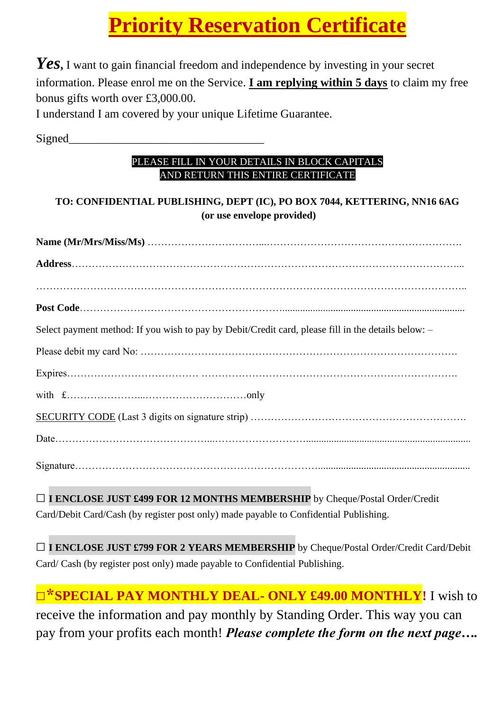# **Priority Reservation Certificate**

*Yes***,** I want to gain financial freedom and independence by investing in your secret information. Please enrol me on the Service. **I am replying within 5 days** to claim my free bonus gifts worth over £3,000.00.

I understand I am covered by your unique Lifetime Guarantee.

Signed

#### PLEASE FILL IN YOUR DETAILS IN BLOCK CAPITALS AND RETURN THIS ENTIRE CERTIFICATE

### **TO: CONFIDENTIAL PUBLISHING, DEPT (IC), PO BOX 7044, KETTERING, NN16 6AG (or use envelope provided)**

| Select payment method: If you wish to pay by Debit/Credit card, please fill in the details below: - |
|-----------------------------------------------------------------------------------------------------|
|                                                                                                     |
|                                                                                                     |
|                                                                                                     |
|                                                                                                     |
|                                                                                                     |
|                                                                                                     |
|                                                                                                     |

**□I ENCLOSE JUST £499 FOR 12 MONTHS MEMBERSHIP** by Cheque/Postal Order/Credit Card/Debit Card/Cash (by register post only) made payable to Confidential Publishing.

**□I ENCLOSE JUST £799 FOR 2 YEARS MEMBERSHIP** by Cheque/Postal Order/Credit Card/Debit Card/ Cash (by register post only) made payable to Confidential Publishing.

### **□\*SPECIAL PAY MONTHLY DEAL- ONLY £49.00 MONTHLY!** I wish to receive the information and pay monthly by Standing Order. This way you can pay from your profits each month! *Please complete the form on the next page….*